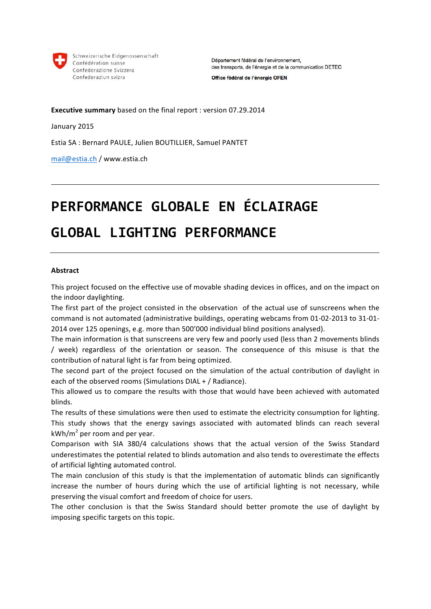

Schweizerische Eidgenossenschaft Confédération suisse Confederazione Svizzera Confederaziun svizra

Département fédéral de l'environnement, des transports, de l'énergie et de la communication DETEC

Office fédéral de l'énergie OFEN

**Executive summary** based on the final report : version 07.29.2014

January 2015

Estia SA : Bernard PAULE, Julien BOUTILLIER, Samuel PANTET

mail@estia.ch / www.estia.ch!

# PERFORMANCE GLOBALE EN ÉCLAIRAGE **GLOBAL LIGHTING PERFORMANCE**

#### **Abstract**

This project focused on the effective use of movable shading devices in offices, and on the impact on the indoor daylighting.

The first part of the project consisted in the observation of the actual use of sunscreens when the command is not automated (administrative buildings, operating webcams from 01-02-2013 to 31-01-2014 over 125 openings, e.g. more than 500'000 individual blind positions analysed).

The main information is that sunscreens are very few and poorly used (less than 2 movements blinds / week) regardless of the orientation or season. The consequence of this misuse is that the contribution of natural light is far from being optimized.

The second part of the project focused on the simulation of the actual contribution of daylight in each of the observed rooms (Simulations  $DIAL + /$  Radiance).

This allowed us to compare the results with those that would have been achieved with automated blinds.

The results of these simulations were then used to estimate the electricity consumption for lighting. This study shows that the energy savings associated with automated blinds can reach several kWh/ $m^2$  per room and per year.

Comparison with SIA 380/4 calculations shows that the actual version of the Swiss Standard underestimates the potential related to blinds automation and also tends to overestimate the effects of artificial lighting automated control.

The main conclusion of this study is that the implementation of automatic blinds can significantly increase the number of hours during which the use of artificial lighting is not necessary, while preserving the visual comfort and freedom of choice for users.

The other conclusion is that the Swiss Standard should better promote the use of daylight by imposing specific targets on this topic.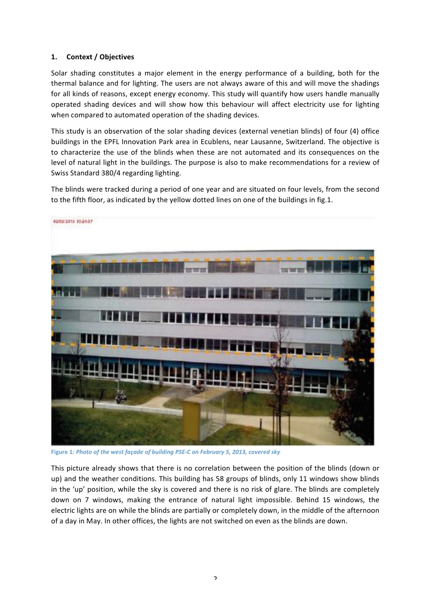## 1. **Context** / Objectives

Solar shading constitutes a major element in the energy performance of a building, both for the thermal balance and for lighting. The users are not always aware of this and will move the shadings for all kinds of reasons, except energy economy. This study will quantify how users handle manually operated shading devices and will show how this behaviour will affect electricity use for lighting when compared to automated operation of the shading devices.

This study is an observation of the solar shading devices (external venetian blinds) of four (4) office buildings in the EPFL Innovation Park area in Ecublens, near Lausanne, Switzerland. The objective is to characterize the use of the blinds when these are not automated and its consequences on the level of natural light in the buildings. The purpose is also to make recommendations for a review of Swiss Standard 380/4 regarding lighting.

The blinds were tracked during a period of one year and are situated on four levels, from the second to the fifth floor, as indicated by the yellow dotted lines on one of the buildings in fig.1.



Figure 1*: Photo of the west façade of building PSE-C on February 5, 2013, covered sky* 

This picture already shows that there is no correlation between the position of the blinds (down or up) and the weather conditions. This building has 58 groups of blinds, only 11 windows show blinds in the 'up' position, while the sky is covered and there is no risk of glare. The blinds are completely down on 7 windows, making the entrance of natural light impossible. Behind 15 windows, the electric lights are on while the blinds are partially or completely down, in the middle of the afternoon of a day in May. In other offices, the lights are not switched on even as the blinds are down.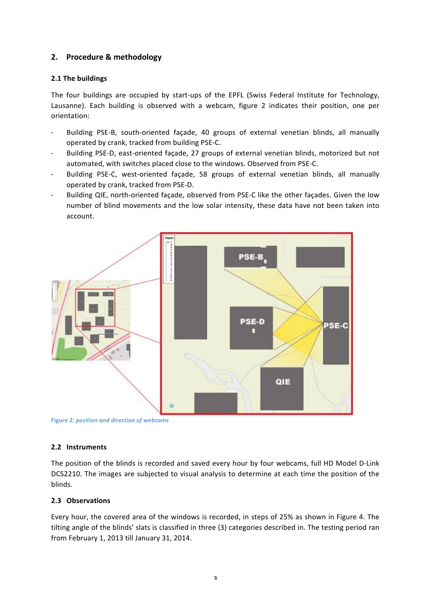# **2. Procedure!&!methodology**

## **2.1 The buildings**

The four buildings are occupied by start-ups of the EPFL (Swiss Federal Institute for Technology, Lausanne). Each building is observed with a webcam, figure 2 indicates their position, one per orientation:

- Building PSE-B, south-oriented façade, 40 groups of external venetian blinds, all manually operated by crank, tracked from building PSE-C.
- Building PSE-D, east-oriented façade, 27 groups of external venetian blinds, motorized but not automated, with switches placed close to the windows. Observed from PSE-C.
- Building PSE-C, west-oriented façade, 58 groups of external venetian blinds, all manually operated by crank, tracked from PSE-D.
- Building QIE, north-oriented facade, observed from PSE-C like the other facades. Given the low number of blind movements and the low solar intensity, these data have not been taken into account.



**Figure 2***: position and direction of webcams* 

#### **2.2 Instruments**

The position of the blinds is recorded and saved every hour by four webcams, full HD Model D-Link DCS2210. The images are subjected to visual analysis to determine at each time the position of the blinds.

#### **2.3 Observations**

Every hour, the covered area of the windows is recorded, in steps of 25% as shown in Figure 4. The tilting angle of the blinds' slats is classified in three (3) categories described in. The testing period ran from February 1, 2013 till January 31, 2014.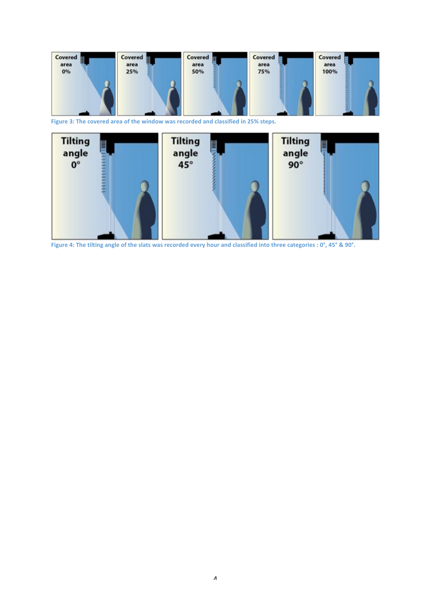

Figure 3: The covered area of the window was recorded and classified in 25% steps.



Figure 4: The tilting angle of the slats was recorded every hour and classified into three categories : 0°, 45° & 90°.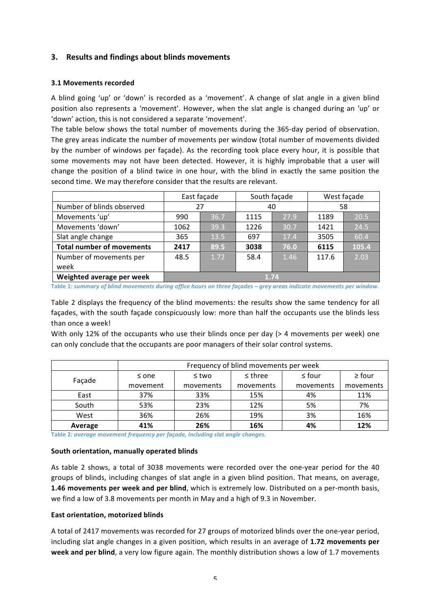## **3.** Results and findings about blinds movements

#### **3.1 Movements recorded**

A blind going 'up' or 'down' is recorded as a 'movement'. A change of slat angle in a given blind position also represents a 'movement'. However, when the slat angle is changed during an 'up' or 'down' action, this is not considered a separate 'movement'.

The table below shows the total number of movements during the 365-day period of observation. The grey areas indicate the number of movements per window (total number of movements divided by the number of windows per façade). As the recording took place every hour, it is possible that some movements may not have been detected. However, it is highly improbable that a user will change the position of a blind twice in one hour, with the blind in exactly the same position the second time. We may therefore consider that the results are relevant.

|                                  | East façade |      | South façade |      | West façade |       |
|----------------------------------|-------------|------|--------------|------|-------------|-------|
| Number of blinds observed        | 27          |      |              | 40   | 58          |       |
| Movements 'up'                   | 990         | 36.7 | 1115         | 27.9 | 1189        | 20.5  |
| Movements 'down'                 | 1062        | 39.3 | 1226         | 30.7 | 1421        | 24.5  |
| Slat angle change                | 365         | 13.5 | 697          | 17.4 | 3505        | 60.4  |
| <b>Total number of movements</b> | 2417        | 89.5 | 3038         | 76.0 | 6115        | 105.4 |
| Number of movements per          | 48.5        | 1.72 | 58.4         | 1.46 | 117.6       | 2.03  |
| week                             |             |      |              |      |             |       |
| Weighted average per week        | 1.74        |      |              |      |             |       |

Table 1: *summary of blind movements during office hours on three façades – grey areas indicate movements per window.* 

Table 2 displays the frequency of the blind movements: the results show the same tendency for all façades, with the south façade conspicuously low: more than half the occupants use the blinds less than once a week!

With only 12% of the occupants who use their blinds once per day (> 4 movements per week) one can only conclude that the occupants are poor managers of their solar control systems.

|         | Frequency of blind movements per week |           |              |             |             |
|---------|---------------------------------------|-----------|--------------|-------------|-------------|
| Façade  | $\leq$ one                            | ≤ two     | $\leq$ three | $\leq$ four | $\geq$ four |
|         | movement                              | movements | movements    | movements   | movements   |
| East    | 37%                                   | 33%       | 15%          | 4%          | 11%         |
| South   | 53%                                   | 23%       | 12%          | 5%          | 7%          |
| West    | 36%                                   | 26%       | 19%          | 3%          | 16%         |
| Average | 41%                                   | 26%       | 16%          | 4%          | 12%         |

Table 2*: average movement frequency per façade, including slat angle changes.* 

#### South orientation, manually operated blinds

As table 2 shows, a total of 3038 movements were recorded over the one-year period for the 40 groups of blinds, including changes of slat angle in a given blind position. That means, on average, 1.46 movements per week and per blind, which is extremely low. Distributed on a per-month basis, we find a low of 3.8 movements per month in May and a high of 9.3 in November.

#### **East orientation, motorized blinds**

A total of 2417 movements was recorded for 27 groups of motorized blinds over the one-year period, including slat angle changes in a given position, which results in an average of 1.72 movements per week and per blind, a very low figure again. The monthly distribution shows a low of 1.7 movements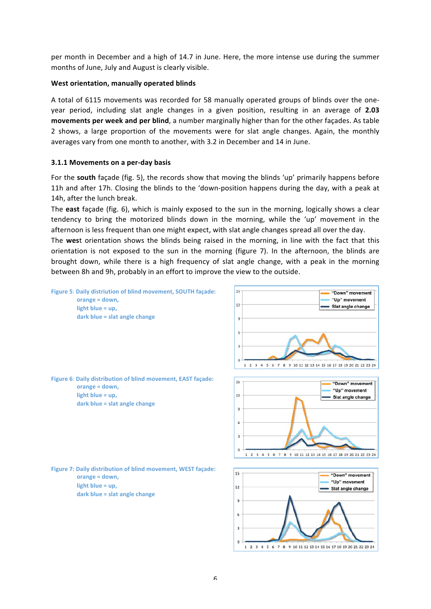per month in December and a high of 14.7 in June. Here, the more intense use during the summer months of June, July and August is clearly visible.

#### **West orientation,!manually!operated!blinds**

A total of 6115 movements was recorded for 58 manually operated groups of blinds over the oneyear period, including slat angle changes in a given position, resulting in an average of 2.03 **movements per week and per blind**, a number marginally higher than for the other façades. As table 2 shows, a large proportion of the movements were for slat angle changes. Again, the monthly averages vary from one month to another, with 3.2 in December and 14 in June.

#### **3.1.1 Movements on a per-day basis**

For the **south** façade (fig. 5), the records show that moving the blinds 'up' primarily happens before 11h and after 17h. Closing the blinds to the 'down-position happens during the day, with a peak at 14h, after the lunch break.

The east façade (fig. 6), which is mainly exposed to the sun in the morning, logically shows a clear tendency to bring the motorized blinds down in the morning, while the 'up' movement in the afternoon is less frequent than one might expect, with slat angle changes spread all over the day.

The west orientation shows the blinds being raised in the morning, in line with the fact that this orientation is not exposed to the sun in the morning (figure 7). In the afternoon, the blinds are brought down, while there is a high frequency of slat angle change, with a peak in the morning between 8h and 9h, probably in an effort to improve the view to the outside.

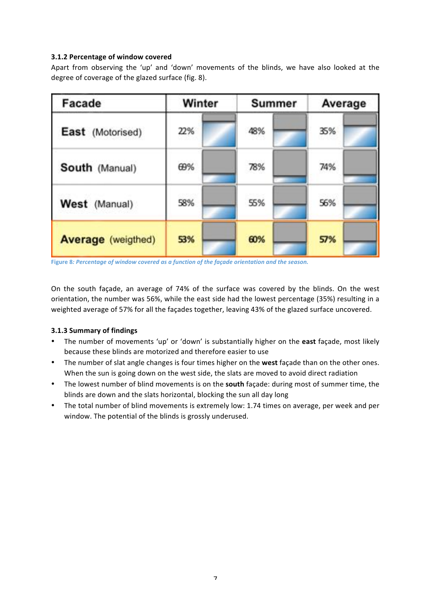# **3.1.2 Percentage of window covered**

Apart from observing the 'up' and 'down' movements of the blinds, we have also looked at the degree of coverage of the glazed surface (fig. 8).

| Facade                    | Winter | Summer | Average |  |
|---------------------------|--------|--------|---------|--|
| East (Motorised)          | 22%    | 48%    | 35%     |  |
| South (Manual)            | 69%    | 78%    | 74%     |  |
| West (Manual)             | 58%    | 55%    | 56%     |  |
| <b>Average</b> (weigthed) | 53%    | 60%    | 57%     |  |

Figure 8*: Percentage of window covered as a function of the façade orientation and the season.* 

On the south façade, an average of 74% of the surface was covered by the blinds. On the west orientation, the number was 56%, while the east side had the lowest percentage (35%) resulting in a weighted average of 57% for all the facades together, leaving 43% of the glazed surface uncovered.

## **3.1.3 Summary!of!findings**

- The number of movements 'up' or 'down' is substantially higher on the **east** façade, most likely because these blinds are motorized and therefore easier to use
- The number of slat angle changes is four times higher on the **west** façade than on the other ones. When the sun is going down on the west side, the slats are moved to avoid direct radiation
- The lowest number of blind movements is on the **south** facade: during most of summer time, the blinds are down and the slats horizontal, blocking the sun all day long
- The total number of blind movements is extremely low: 1.74 times on average, per week and per window. The potential of the blinds is grossly underused.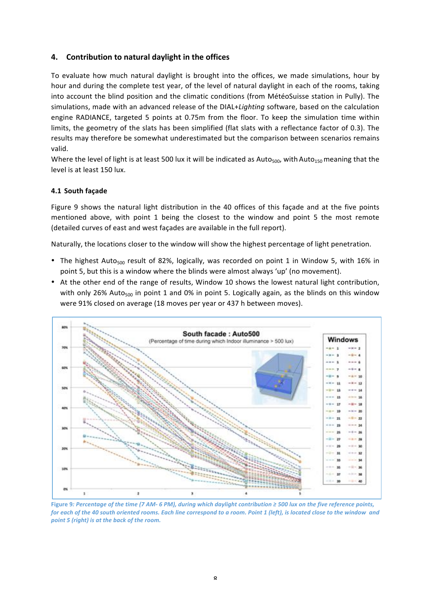# **4.** Contribution to natural daylight in the offices

To evaluate how much natural daylight is brought into the offices, we made simulations, hour by hour and during the complete test year, of the level of natural daylight in each of the rooms, taking into account the blind position and the climatic conditions (from MétéoSuisse station in Pully). The simulations, made with an advanced release of the DIAL+*Lighting* software, based on the calculation engine RADIANCE, targeted 5 points at 0.75m from the floor. To keep the simulation time within limits, the geometry of the slats has been simplified (flat slats with a reflectance factor of 0.3). The results may therefore be somewhat underestimated but the comparison between scenarios remains valid.

Where the level of light is at least 500 lux it will be indicated as Auto<sub>500</sub>, with Auto<sub>150</sub> meaning that the level is at least 150 lux.

## **4.1 South!façade**

Figure 9 shows the natural light distribution in the 40 offices of this façade and at the five points mentioned above, with point 1 being the closest to the window and point 5 the most remote (detailed curves of east and west façades are available in the full report).

Naturally, the locations closer to the window will show the highest percentage of light penetration.

- The highest Auto<sub>500</sub> result of 82%, logically, was recorded on point 1 in Window 5, with 16% in point 5, but this is a window where the blinds were almost always 'up' (no movement).
- At the other end of the range of results, Window 10 shows the lowest natural light contribution, with only 26% Auto<sub>500</sub> in point 1 and 0% in point 5. Logically again, as the blinds on this window were 91% closed on average (18 moves per year or 437 h between moves).



Figure 9: Percentage of the time (7 AM-6 PM), during which daylight contribution ≥ 500 lux on the five reference points, *for each of the 40 south oriented rooms. Each line correspond to a room. Point 1 (left), is located close to the window and point 5 (right) is at the back of the room.*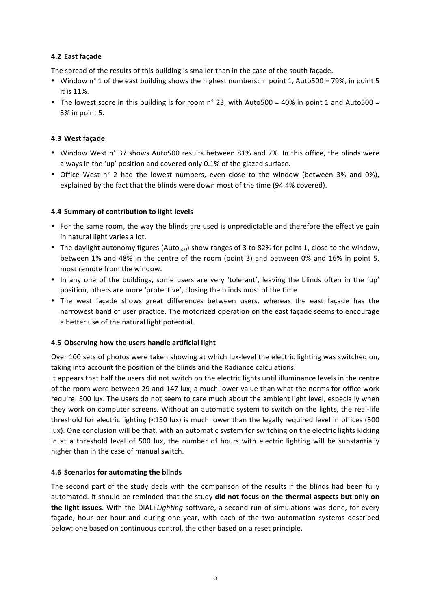# **4.2 East!façade**

The spread of the results of this building is smaller than in the case of the south facade.

- Window n° 1 of the east building shows the highest numbers: in point 1, Auto500 = 79%, in point 5 it is 11%.
- The lowest score in this building is for room n° 23, with Auto500 = 40% in point 1 and Auto500 = 3% in point 5.

# **4.3 West!façade**

- Window West n° 37 shows Auto500 results between 81% and 7%. In this office, the blinds were always in the 'up' position and covered only 0.1% of the glazed surface.
- Office West n° 2 had the lowest numbers, even close to the window (between 3% and 0%), explained by the fact that the blinds were down most of the time (94.4% covered).

# **4.4 Summary of contribution to light levels**

- For the same room, the way the blinds are used is unpredictable and therefore the effective gain in natural light varies a lot.
- The daylight autonomy figures (Auto<sub>500</sub>) show ranges of 3 to 82% for point 1, close to the window, between 1% and 48% in the centre of the room (point 3) and between 0% and 16% in point 5, most remote from the window.
- In any one of the buildings, some users are very 'tolerant', leaving the blinds often in the 'up' position, others are more 'protective', closing the blinds most of the time
- The west façade shows great differences between users, whereas the east façade has the narrowest band of user practice. The motorized operation on the east façade seems to encourage a better use of the natural light potential.

## **4.5 Observing how the users handle artificial light**

Over 100 sets of photos were taken showing at which lux-level the electric lighting was switched on, taking into account the position of the blinds and the Radiance calculations.

It appears that half the users did not switch on the electric lights until illuminance levels in the centre of the room were between 29 and 147 lux, a much lower value than what the norms for office work require: 500 lux. The users do not seem to care much about the ambient light level, especially when they work on computer screens. Without an automatic system to switch on the lights, the real-life threshold for electric lighting (<150 lux) is much lower than the legally required level in offices (500 lux). One conclusion will be that, with an automatic system for switching on the electric lights kicking in at a threshold level of 500 lux, the number of hours with electric lighting will be substantially higher than in the case of manual switch.

## **4.6 Scenarios for automating the blinds**

The second part of the study deals with the comparison of the results if the blinds had been fully automated. It should be reminded that the study **did not focus on the thermal aspects but only on the light issues**. With the DIAL+*Lighting* software, a second run of simulations was done, for every façade, hour per hour and during one year, with each of the two automation systems described below: one based on continuous control, the other based on a reset principle.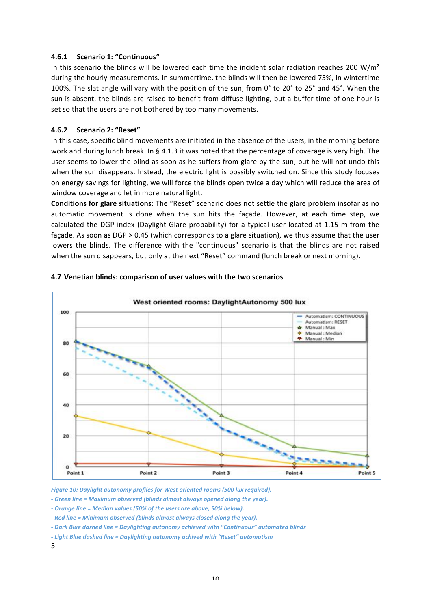#### **4.6.1 Scenario 1: "Continuous"**

In this scenario the blinds will be lowered each time the incident solar radiation reaches 200  $W/m<sup>2</sup>$ during the hourly measurements. In summertime, the blinds will then be lowered 75%, in wintertime 100%. The slat angle will vary with the position of the sun, from 0° to 20° to 25° and 45°. When the sun is absent, the blinds are raised to benefit from diffuse lighting, but a buffer time of one hour is set so that the users are not bothered by too many movements.

#### **4.6.2 Scenario!2:!"Reset"**

In this case, specific blind movements are initiated in the absence of the users, in the morning before work and during lunch break. In § 4.1.3 it was noted that the percentage of coverage is very high. The user seems to lower the blind as soon as he suffers from glare by the sun, but he will not undo this when the sun disappears. Instead, the electric light is possibly switched on. Since this study focuses on energy savings for lighting, we will force the blinds open twice a day which will reduce the area of window coverage and let in more natural light.

**Conditions for glare situations:** The "Reset" scenario does not settle the glare problem insofar as no automatic movement is done when the sun hits the façade. However, at each time step, we calculated the DGP index (Daylight Glare probability) for a typical user located at 1.15 m from the facade. As soon as DGP  $> 0.45$  (which corresponds to a glare situation), we thus assume that the user lowers the blinds. The difference with the "continuous" scenario is that the blinds are not raised when the sun disappears, but only at the next "Reset" command (lunch break or next morning).



#### **4.7 Venetian blinds: comparison of user values with the two scenarios**

*Figure 10: Daylight autonomy profiles for West oriented rooms (500 lux required).* 

- Green line = Maximum observed (blinds almost always opened along the year).

- Orange line = Median values (50% of the users are above, 50% below).

- Red line = Minimum observed (blinds almost always closed along the year).

*f - Dark Blue dashed line = Daylighting autonomy achieved with "Continuous" automated blinds* 

*- Light Blue dashed line = Daylighting autonomy achived with "Reset" automatism* 

5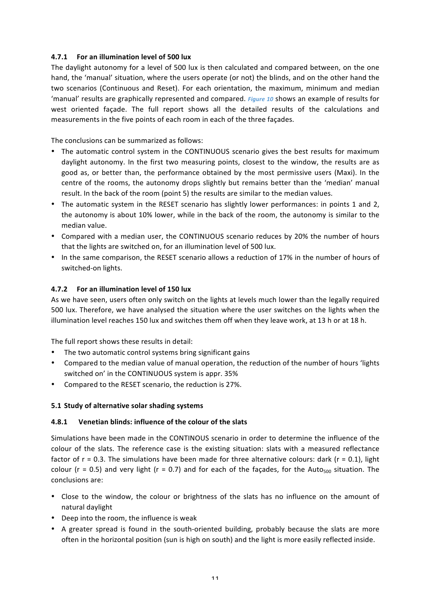## **4.7.1 • For an illumination level of 500 lux**

The daylight autonomy for a level of 500 lux is then calculated and compared between, on the one hand, the 'manual' situation, where the users operate (or not) the blinds, and on the other hand the two scenarios (Continuous and Reset). For each orientation, the maximum, minimum and median 'manual' results are graphically represented and compared. *Figure 10* shows an example of results for west oriented facade. The full report shows all the detailed results of the calculations and measurements in the five points of each room in each of the three façades.

The conclusions can be summarized as follows:

- The automatic control system in the CONTINUOUS scenario gives the best results for maximum daylight autonomy. In the first two measuring points, closest to the window, the results are as good as, or better than, the performance obtained by the most permissive users (Maxi). In the centre of the rooms, the autonomy drops slightly but remains better than the 'median' manual result. In the back of the room (point 5) the results are similar to the median values.
- The automatic system in the RESET scenario has slightly lower performances: in points 1 and 2, the autonomy is about 10% lower, while in the back of the room, the autonomy is similar to the median value.
- Compared with a median user, the CONTINUOUS scenario reduces by 20% the number of hours that the lights are switched on, for an illumination level of 500 lux.
- In the same comparison, the RESET scenario allows a reduction of 17% in the number of hours of switched-on lights.

## **4.7.2** For an illumination level of 150 lux

As we have seen, users often only switch on the lights at levels much lower than the legally required 500 lux. Therefore, we have analysed the situation where the user switches on the lights when the illumination level reaches 150 lux and switches them off when they leave work, at 13 h or at 18 h.

The full report shows these results in detail:

- The two automatic control systems bring significant gains
- Compared to the median value of manual operation, the reduction of the number of hours 'lights switched on' in the CONTINUOUS system is appr. 35%
- Compared to the RESET scenario, the reduction is 27%.

#### **5.1 Study of alternative solar shading systems**

#### **4.8.1 Venetian blinds: influence of the colour of the slats**

Simulations have been made in the CONTINOUS scenario in order to determine the influence of the colour of the slats. The reference case is the existing situation: slats with a measured reflectance factor of  $r = 0.3$ . The simulations have been made for three alternative colours: dark ( $r = 0.1$ ), light colour (r = 0.5) and very light (r = 0.7) and for each of the façades, for the Auto<sub>500</sub> situation. The conclusions are:

- Close to the window, the colour or brightness of the slats has no influence on the amount of natural daylight
- Deep into the room, the influence is weak
- A greater spread is found in the south-oriented building, probably because the slats are more often in the horizontal position (sun is high on south) and the light is more easily reflected inside.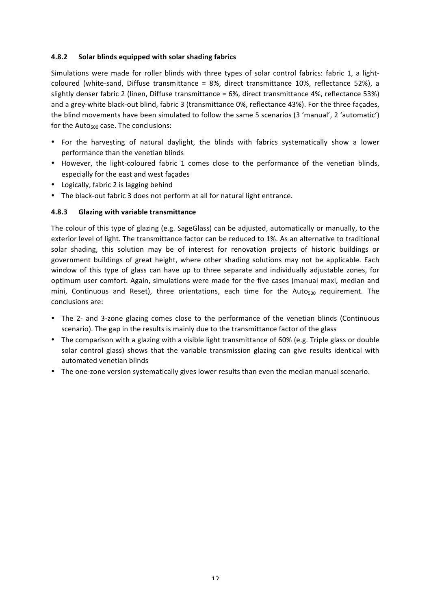## **4.8.2** Solar blinds equipped with solar shading fabrics

Simulations were made for roller blinds with three types of solar control fabrics: fabric 1, a lightcoloured (white-sand, Diffuse transmittance =  $8\%$ , direct transmittance 10%, reflectance 52%), a slightly denser fabric 2 (linen, Diffuse transmittance = 6%, direct transmittance 4%, reflectance 53%) and a grey-white black-out blind, fabric 3 (transmittance 0%, reflectance 43%). For the three façades, the blind movements have been simulated to follow the same 5 scenarios (3 'manual', 2 'automatic') for the Auto $_{500}$  case. The conclusions:

- For the harvesting of natural daylight, the blinds with fabrics systematically show a lower performance than the venetian blinds
- However, the light-coloured fabric 1 comes close to the performance of the venetian blinds, especially for the east and west façades
- Logically, fabric 2 is lagging behind
- The black-out fabric 3 does not perform at all for natural light entrance.

## **4.8.3 Glazing with variable transmittance**

The colour of this type of glazing (e.g. SageGlass) can be adjusted, automatically or manually, to the exterior level of light. The transmittance factor can be reduced to 1%. As an alternative to traditional solar shading, this solution may be of interest for renovation projects of historic buildings or government buildings of great height, where other shading solutions may not be applicable. Each window of this type of glass can have up to three separate and individually adjustable zones, for optimum user comfort. Again, simulations were made for the five cases (manual maxi, median and mini, Continuous and Reset), three orientations, each time for the Auto $_{500}$  requirement. The conclusions are:

- The 2- and 3-zone glazing comes close to the performance of the venetian blinds (Continuous scenario). The gap in the results is mainly due to the transmittance factor of the glass
- The comparison with a glazing with a visible light transmittance of 60% (e.g. Triple glass or double solar control glass) shows that the variable transmission glazing can give results identical with automated venetian blinds
- The one-zone version systematically gives lower results than even the median manual scenario.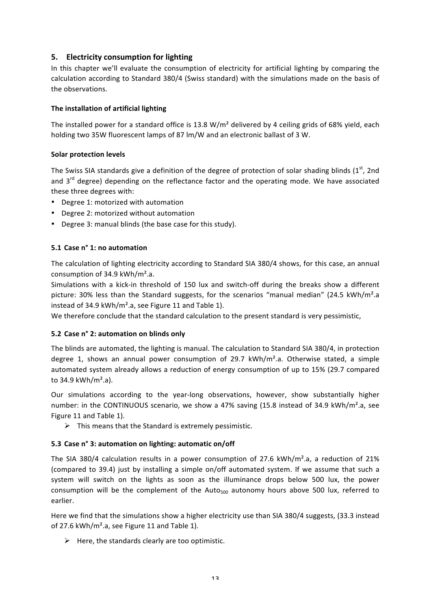# **5. Electricity consumption for lighting**

In this chapter we'll evaluate the consumption of electricity for artificial lighting by comparing the calculation according to Standard 380/4 (Swiss standard) with the simulations made on the basis of the observations.

## **The installation of artificial lighting**

The installed power for a standard office is 13.8  $W/m<sup>2</sup>$  delivered by 4 ceiling grids of 68% yield, each holding two 35W fluorescent lamps of 87 lm/W and an electronic ballast of 3 W.

## **Solar protection levels**

The Swiss SIA standards give a definition of the degree of protection of solar shading blinds (1st, 2nd and 3<sup>rd</sup> degree) depending on the reflectance factor and the operating mode. We have associated these three degrees with:

- Degree 1: motorized with automation
- Degree 2: motorized without automation
- Degree 3: manual blinds (the base case for this study).

## **5.1 Case n° 1: no automation**

The calculation of lighting electricity according to Standard SIA 380/4 shows, for this case, an annual consumption of 34.9  $kWh/m<sup>2</sup>.a$ .

Simulations with a kick-in threshold of 150 lux and switch-off during the breaks show a different picture: 30% less than the Standard suggests, for the scenarios "manual median" (24.5  $kWh/m².a$ instead of 34.9  $kWh/m<sup>2</sup>$ .a, see Figure 11 and Table 1).

We therefore conclude that the standard calculation to the present standard is very pessimistic,

## **5.2 Case n° 2: automation on blinds only**

The blinds are automated, the lighting is manual. The calculation to Standard SIA 380/4, in protection degree 1, shows an annual power consumption of 29.7  $kWh/m<sup>2</sup>.a$ . Otherwise stated, a simple automated system already allows a reduction of energy consumption of up to 15% (29.7 compared to  $34.9$  kWh/m<sup>2</sup>.a).

Our simulations according to the year-long observations, however, show substantially higher number: in the CONTINUOUS scenario, we show a 47% saving (15.8 instead of 34.9 kWh/m<sup>2</sup>.a, see Figure 11 and Table 1).

 $\triangleright$  This means that the Standard is extremely pessimistic.

## **5.3 Case n° 3: automation on lighting: automatic on/off**

The SIA 380/4 calculation results in a power consumption of 27.6  $kWh/m<sup>2</sup>.a$ , a reduction of 21% (compared to 39.4) just by installing a simple on/off automated system. If we assume that such a system will switch on the lights as soon as the illuminance drops below 500 lux, the power consumption will be the complement of the  $Aut_{500}$  autonomy hours above 500 lux, referred to earlier.

Here we find that the simulations show a higher electricity use than SIA 380/4 suggests, (33.3 instead of 27.6 kWh/m<sup>2</sup>.a, see Figure 11 and Table 1).

 $\triangleright$  Here, the standards clearly are too optimistic.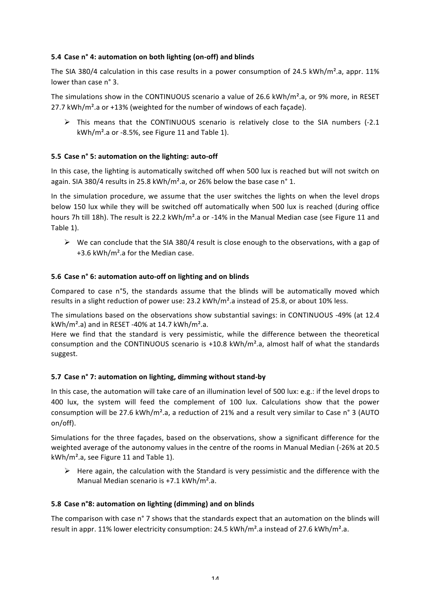# **5.4 Case n° 4: automation on both lighting (on-off) and blinds**

The SIA 380/4 calculation in this case results in a power consumption of 24.5  $kWh/m².a$ , appr. 11% lower than case n° 3.

The simulations show in the CONTINUOUS scenario a value of 26.6 kWh/m<sup>2</sup>.a, or 9% more, in RESET 27.7 kWh/m<sup>2</sup>.a or +13% (weighted for the number of windows of each facade).

 $\triangleright$  This means that the CONTINUOUS scenario is relatively close to the SIA numbers (-2.1  $kWh/m<sup>2</sup>.a$  or -8.5%, see Figure 11 and Table 1).

# **5.5** Case n° 5: automation on the lighting: auto-off

In this case, the lighting is automatically switched off when 500 lux is reached but will not switch on again. SIA 380/4 results in 25.8 kWh/m<sup>2</sup>.a, or 26% below the base case n° 1.

In the simulation procedure, we assume that the user switches the lights on when the level drops below 150 lux while they will be switched off automatically when 500 lux is reached (during office hours 7h till 18h). The result is 22.2 kWh/m<sup>2</sup>.a or -14% in the Manual Median case (see Figure 11 and Table 1).

 $\triangleright$  We can conclude that the SIA 380/4 result is close enough to the observations, with a gap of  $+3.6$  kWh/m<sup>2</sup>.a for the Median case.

## **5.6 Case n° 6: automation auto-off on lighting and on blinds**

Compared to case n°5, the standards assume that the blinds will be automatically moved which results in a slight reduction of power use:  $23.2 \text{ kWh/m}^2$ .a instead of 25.8, or about 10% less.

The simulations based on the observations show substantial savings: in CONTINUOUS -49% (at 12.4 kWh/m<sup>2</sup>.a) and in RESET -40% at 14.7 kWh/m<sup>2</sup>.a.

Here we find that the standard is very pessimistic, while the difference between the theoretical consumption and the CONTINUOUS scenario is  $+10.8$  kWh/m<sup>2</sup>.a, almost half of what the standards suggest.

## **5.7 Case n° 7: automation on lighting, dimming without stand-by**

In this case, the automation will take care of an illumination level of 500 lux: e.g.: if the level drops to 400 lux, the system will feed the complement of 100 lux. Calculations show that the power consumption will be 27.6 kWh/m<sup>2</sup>.a, a reduction of 21% and a result very similar to Case n° 3 (AUTO on/off).

Simulations for the three façades, based on the observations, show a significant difference for the weighted average of the autonomy values in the centre of the rooms in Manual Median (-26% at 20.5  $kWh/m<sup>2</sup>.a$ , see Figure 11 and Table 1).

 $\triangleright$  Here again, the calculation with the Standard is very pessimistic and the difference with the Manual Median scenario is  $+7.1$  kWh/m<sup>2</sup>.a.

#### **5.8 Case n°8: automation on lighting (dimming) and on blinds**

The comparison with case n° 7 shows that the standards expect that an automation on the blinds will result in appr. 11% lower electricity consumption: 24.5 kWh/m<sup>2</sup>.a instead of 27.6 kWh/m<sup>2</sup>.a.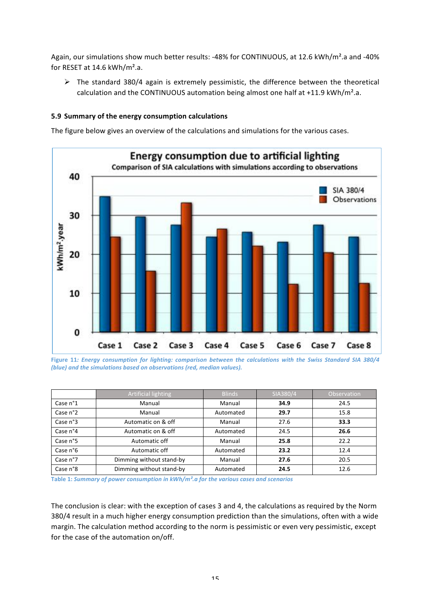Again, our simulations show much better results: -48% for CONTINUOUS, at 12.6 kWh/m<sup>2</sup>.a and -40% for RESET at  $14.6$  kWh/m<sup>2</sup>.a.

 $\triangleright$  The standard 380/4 again is extremely pessimistic, the difference between the theoretical calculation and the CONTINUOUS automation being almost one half at  $+11.9$  kWh/m<sup>2</sup>.a.

## **5.9 Summary of the energy consumption calculations**

The figure below gives an overview of the calculations and simulations for the various cases.



Figure 11*: Energy consumption for lighting: comparison between the calculations with the Swiss Standard SIA 380/4 (blue) and the simulations based on observations (red, median values).* 

|                   | Artificial lighting      | <b>Blinds</b> | SIA380/4 | <b>Observation</b> |
|-------------------|--------------------------|---------------|----------|--------------------|
| Case $n^{\circ}1$ | Manual                   | Manual        | 34.9     | 24.5               |
| Case n°2          | Manual                   | Automated     | 29.7     | 15.8               |
| Case $n^{\circ}3$ | Automatic on & off       | Manual        | 27.6     | 33.3               |
| Case n°4          | Automatic on & off       | Automated     | 24.5     | 26.6               |
| Case n°5          | Automatic off            | Manual        | 25.8     | 22.2               |
| Case $n^{\circ}6$ | Automatic off            | Automated     | 23.2     | 12.4               |
| Case n°7          | Dimming without stand-by | Manual        | 27.6     | 20.5               |
| Case n°8          | Dimming without stand-by | Automated     | 24.5     | 12.6               |

Table 1: *Summary of power consumption in kWh/m<sup>2</sup>.a for the various cases and scenarios* 

The conclusion is clear: with the exception of cases 3 and 4, the calculations as required by the Norm 380/4 result in a much higher energy consumption prediction than the simulations, often with a wide margin. The calculation method according to the norm is pessimistic or even very pessimistic, except for the case of the automation on/off.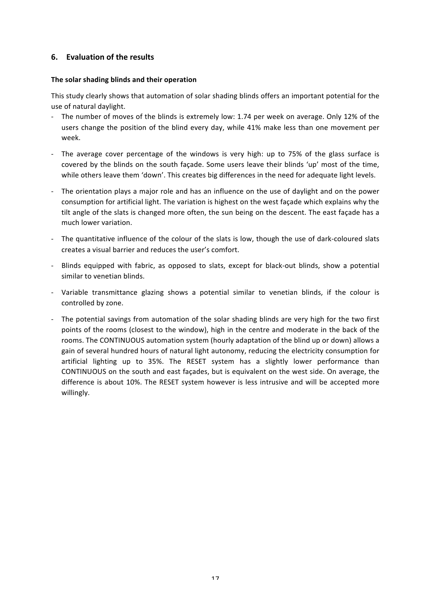# **6. Evaluation of the results**

#### The solar shading blinds and their operation

This study clearly shows that automation of solar shading blinds offers an important potential for the use of natural daylight.

- The number of moves of the blinds is extremely low: 1.74 per week on average. Only 12% of the users change the position of the blind every day, while 41% make less than one movement per week.
- The average cover percentage of the windows is very high: up to 75% of the glass surface is covered by the blinds on the south façade. Some users leave their blinds 'up' most of the time, while others leave them 'down'. This creates big differences in the need for adequate light levels.
- The orientation plays a major role and has an influence on the use of daylight and on the power consumption for artificial light. The variation is highest on the west façade which explains why the tilt angle of the slats is changed more often, the sun being on the descent. The east façade has a much lower variation.
- The quantitative influence of the colour of the slats is low, though the use of dark-coloured slats creates a visual barrier and reduces the user's comfort.
- Blinds equipped with fabric, as opposed to slats, except for black-out blinds, show a potential similar to venetian blinds.
- Variable transmittance glazing shows a potential similar to venetian blinds, if the colour is controlled by zone.
- The potential savings from automation of the solar shading blinds are very high for the two first points of the rooms (closest to the window), high in the centre and moderate in the back of the rooms. The CONTINUOUS automation system (hourly adaptation of the blind up or down) allows a gain of several hundred hours of natural light autonomy, reducing the electricity consumption for artificial lighting up to 35%. The RESET system has a slightly lower performance than CONTINUOUS on the south and east façades, but is equivalent on the west side. On average, the difference is about 10%. The RESET system however is less intrusive and will be accepted more willingly.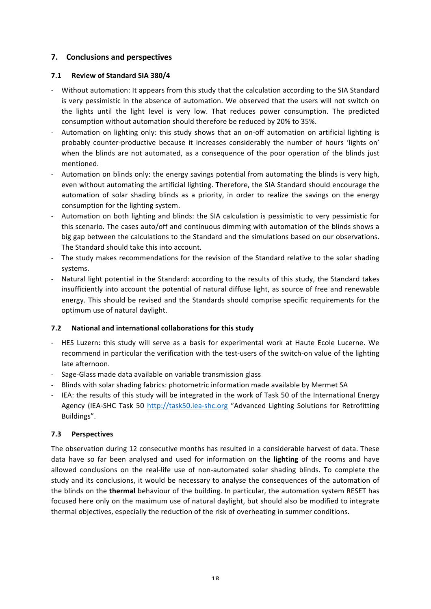# **7. Conclusions and!perspectives**

## **7.1 Review of Standard SIA 380/4**

- Without automation: It appears from this study that the calculation according to the SIA Standard is very pessimistic in the absence of automation. We observed that the users will not switch on the lights until the light level is very low. That reduces power consumption. The predicted consumption without automation should therefore be reduced by 20% to 35%.
- Automation on lighting only: this study shows that an on-off automation on artificial lighting is probably counter-productive because it increases considerably the number of hours 'lights on' when the blinds are not automated, as a consequence of the poor operation of the blinds just mentioned.
- Automation on blinds only: the energy savings potential from automating the blinds is very high, even without automating the artificial lighting. Therefore, the SIA Standard should encourage the automation of solar shading blinds as a priority, in order to realize the savings on the energy consumption for the lighting system.
- Automation on both lighting and blinds: the SIA calculation is pessimistic to very pessimistic for this scenario. The cases auto/off and continuous dimming with automation of the blinds shows a big gap between the calculations to the Standard and the simulations based on our observations. The Standard should take this into account.
- The study makes recommendations for the revision of the Standard relative to the solar shading systems.
- Natural light potential in the Standard: according to the results of this study, the Standard takes insufficiently into account the potential of natural diffuse light, as source of free and renewable energy. This should be revised and the Standards should comprise specific requirements for the optimum use of natural daylight.

## **7.2** National and international collaborations for this study

- HES Luzern: this study will serve as a basis for experimental work at Haute Ecole Lucerne. We recommend in particular the verification with the test-users of the switch-on value of the lighting late afternoon.
- Sage-Glass made data available on variable transmission glass
- Blinds with solar shading fabrics: photometric information made available by Mermet SA
- IEA: the results of this study will be integrated in the work of Task 50 of the International Energy Agency (IEA-SHC Task 50 http://task50.iea-shc.org "Advanced Lighting Solutions for Retrofitting Buildings".

## **7.3 Perspectives**

The observation during 12 consecutive months has resulted in a considerable harvest of data. These data have so far been analysed and used for information on the lighting of the rooms and have allowed conclusions on the real-life use of non-automated solar shading blinds. To complete the study and its conclusions, it would be necessary to analyse the consequences of the automation of the blinds on the **thermal** behaviour of the building. In particular, the automation system RESET has focused here only on the maximum use of natural daylight, but should also be modified to integrate thermal objectives, especially the reduction of the risk of overheating in summer conditions.